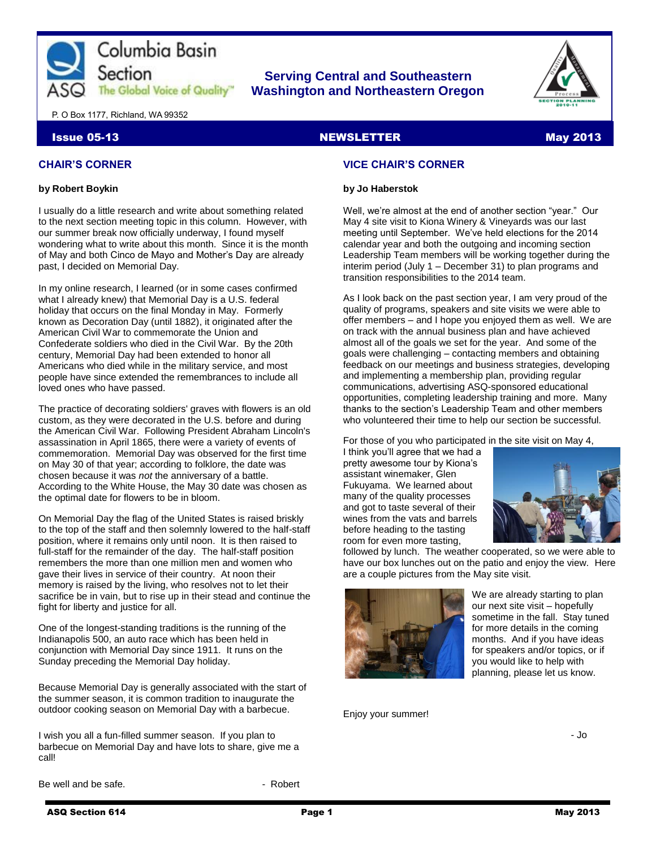

# **Serving Central and Southeastern The Global Voice of Quality Washington and Northeastern Oregon**



P. O Box 1177, Richland, WA 99352

#### **Issue 05-13 NEWSLETTER May 2013**

## **CHAIR'S CORNER**

#### **by Robert Boykin**

I usually do a little research and write about something related to the next section meeting topic in this column. However, with our summer break now officially underway, I found myself wondering what to write about this month. Since it is the month of May and both Cinco de Mayo and Mother's Day are already past, I decided on Memorial Day.

In my online research, I learned (or in some cases confirmed what I already knew) that Memorial Day is a U.S. federal holiday that occurs on the final Monday in May. Formerly known as Decoration Day (until 1882), it originated after the American Civil War to commemorate the Union and Confederate soldiers who died in the Civil War. By the 20th century, Memorial Day had been extended to honor all Americans who died while in the military service, and most people have since extended the remembrances to include all loved ones who have passed.

The practice of decorating soldiers' graves with flowers is an old custom, as they were decorated in the U.S. before and during the American Civil War. Following President Abraham Lincoln's assassination in April 1865, there were a variety of events of commemoration. Memorial Day was observed for the first time on May 30 of that year; according to folklore, the date was chosen because it was *not* the anniversary of a battle. According to the White House, the May 30 date was chosen as the optimal date for flowers to be in bloom.

On Memorial Day the flag of the United States is raised briskly to the top of the staff and then solemnly lowered to the half-staff position, where it remains only until noon. It is then raised to full-staff for the remainder of the day. The half-staff position remembers the more than one million men and women who gave their lives in service of their country. At noon their memory is raised by the living, who resolves not to let their sacrifice be in vain, but to rise up in their stead and continue the fight for liberty and justice for all.

One of the longest-standing traditions is the running of the Indianapolis 500, an auto race which has been held in conjunction with Memorial Day since 1911. It runs on the Sunday preceding the Memorial Day holiday.

Because Memorial Day is generally associated with the start of the summer season, it is common tradition to inaugurate the outdoor cooking season on Memorial Day with a barbecue.

I wish you all a fun-filled summer season. If you plan to barbecue on Memorial Day and have lots to share, give me a call!

Be well and be safe. The same state of the Robert

# **VICE CHAIR'S CORNER**

#### **by Jo Haberstok**

Well, we're almost at the end of another section "year." Our May 4 site visit to Kiona Winery & Vineyards was our last meeting until September. We've held elections for the 2014 calendar year and both the outgoing and incoming section Leadership Team members will be working together during the interim period (July 1 – December 31) to plan programs and transition responsibilities to the 2014 team.

As I look back on the past section year, I am very proud of the quality of programs, speakers and site visits we were able to offer members – and I hope you enjoyed them as well. We are on track with the annual business plan and have achieved almost all of the goals we set for the year. And some of the goals were challenging – contacting members and obtaining feedback on our meetings and business strategies, developing and implementing a membership plan, providing regular communications, advertising ASQ-sponsored educational opportunities, completing leadership training and more. Many thanks to the section's Leadership Team and other members who volunteered their time to help our section be successful.

For those of you who participated in the site visit on May 4,

I think you'll agree that we had a pretty awesome tour by Kiona's assistant winemaker, Glen Fukuyama. We learned about many of the quality processes and got to taste several of their wines from the vats and barrels before heading to the tasting room for even more tasting,



followed by lunch. The weather cooperated, so we were able to have our box lunches out on the patio and enjoy the view. Here are a couple pictures from the May site visit.



We are already starting to plan our next site visit – hopefully sometime in the fall. Stay tuned for more details in the coming months. And if you have ideas for speakers and/or topics, or if you would like to help with planning, please let us know.

Enjoy your summer!

- Jo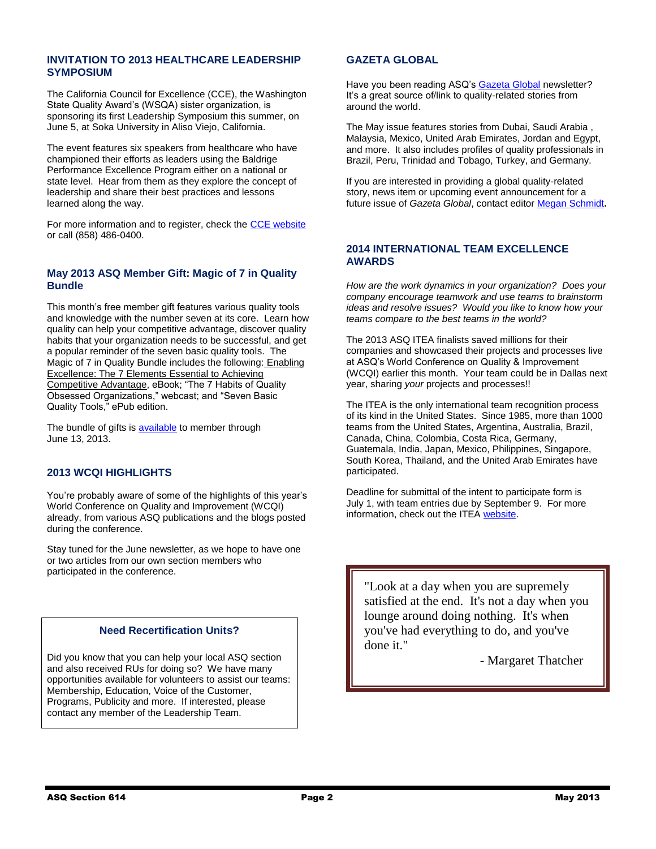# **INVITATION TO 2013 HEALTHCARE LEADERSHIP SYMPOSIUM**

The California Council for Excellence (CCE), the Washington State Quality Award's (WSQA) sister organization, is sponsoring its first Leadership Symposium this summer, on June 5, at Soka University in Aliso Viejo, California.

The event features six speakers from healthcare who have championed their efforts as leaders using the Baldrige Performance Excellence Program either on a national or state level. Hear from them as they explore the concept of leadership and share their best practices and lessons learned along the way.

For more information and to register, check the [CCE website](http://calexcellence.org/Events.aspx) or call (858) 486-0400.

# **May 2013 ASQ Member Gift: Magic of 7 in Quality Bundle**

This month's free member gift features various quality tools and knowledge with the number seven at its core. Learn how quality can help your competitive advantage, discover quality habits that your organization needs to be successful, and get a popular reminder of the seven basic quality tools. The Magic of 7 in Quality Bundle includes the following: Enabling Excellence: The 7 Elements Essential to Achieving Competitive Advantage, eBook; "The 7 Habits of Quality Obsessed Organizations," webcast; and "Seven Basic Quality Tools," ePub edition.

The bundle of gifts is [available](https://asq.org/SignIn.aspx?prvurl=http://asq.org/membership/members/gift/index.html?WT.dcsvid=OTk2NDg4MDY0NwS2&WT.mc_id=EM1110279) to member through June 13, 2013.

# **2013 WCQI HIGHLIGHTS**

You're probably aware of some of the highlights of this year's World Conference on Quality and Improvement (WCQI) already, from various ASQ publications and the blogs posted during the conference.

Stay tuned for the June newsletter, as we hope to have one or two articles from our own section members who participated in the conference.

# **Need Recertification Units?**

Did you know that you can help your local ASQ section and also received RUs for doing so? We have many opportunities available for volunteers to assist our teams: Membership, Education, Voice of the Customer, Programs, Publicity and more. If interested, please contact any member of the Leadership Team.

# **GAZETA GLOBAL**

Have you been reading ASQ's [Gazeta Global](http://rube.asq.org/perl/members/group_access/intl.cgi/2013/may13/pdf/gg_may_13.pdf?WT.dcsvid=ODk0Mzk2NjI1NgS2&WT.mc_id=EM1110301) newsletter? It's a great source of/link to quality-related stories from around the world.

The May issue features stories from Dubai, Saudi Arabia , Malaysia, Mexico, United Arab Emirates, Jordan and Egypt, and more. It also includes profiles of quality professionals in Brazil, Peru, Trinidad and Tobago, Turkey, and Germany.

If you are interested in providing a global quality-related story, news item or upcoming event announcement for a future issue of *Gazeta Global*, contact editor [Megan Schmidt](mailto:mschmidt@asq.org)**.**

#### **2014 INTERNATIONAL TEAM EXCELLENCE AWARDS**

*How are the work dynamics in your organization? Does your company encourage teamwork and use teams to brainstorm ideas and resolve issues? Would you like to know how your teams compare to the best teams in the world?* 

The 2013 ASQ ITEA finalists saved millions for their companies and showcased their projects and processes live at ASQ's World Conference on Quality & Improvement (WCQI) earlier this month. Your team could be in Dallas next year, sharing *your* projects and processes!!

The ITEA is the only international team recognition process of its kind in the United States. Since 1985, more than 1000 teams from the United States, Argentina, Australia, Brazil, Canada, China, Colombia, Costa Rica, Germany, Guatemala, India, Japan, Mexico, Philippines, Singapore, South Korea, Thailand, and the United Arab Emirates have participated.

Deadline for submittal of the intent to participate form is July 1, with team entries due by September 9. For more information, check out the ITEA [website.](http://wcqi.asq.org/team-competition)

"Look at a day when you are supremely satisfied at the end. It's not a day when you lounge around doing nothing. It's when you've had everything to do, and you've done it."

- Margaret Thatcher